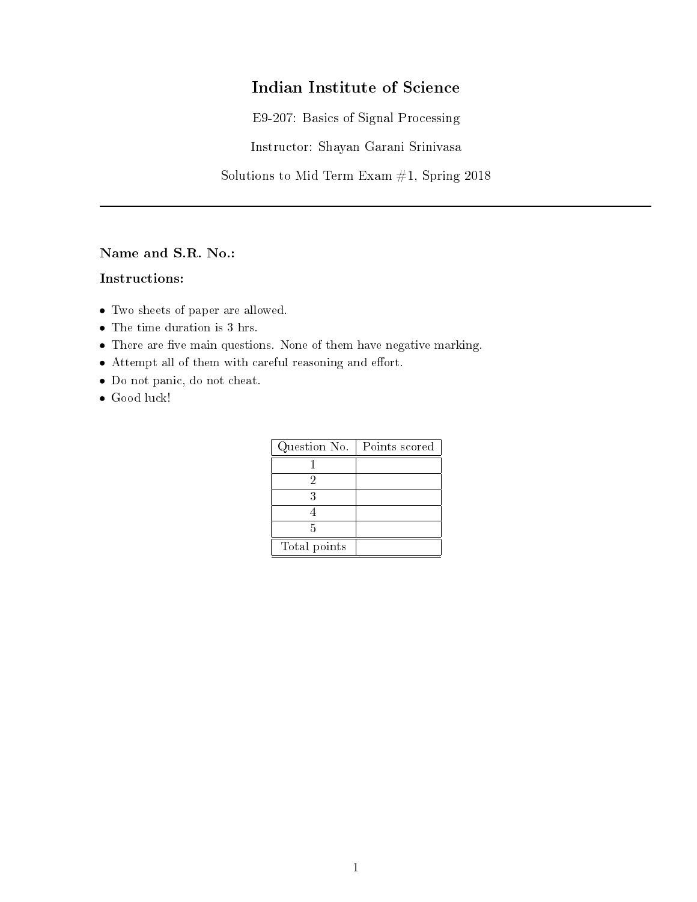# Indian Institute of Science

E9-207: Basics of Signal Processing

Instructor: Shayan Garani Srinivasa

Solutions to Mid Term Exam  $#1$ , Spring 2018

Name and S.R. No.:

### Instructions:

- Two sheets of paper are allowed.
- The time duration is 3 hrs.
- $\bullet$  There are five main questions. None of them have negative marking.
- $\bullet$  Attempt all of them with careful reasoning and effort.
- Do not panic, do not cheat.
- Good luck!

| Question No. | Points scored |
|--------------|---------------|
|              |               |
|              |               |
|              |               |
|              |               |
| 5            |               |
| Total points |               |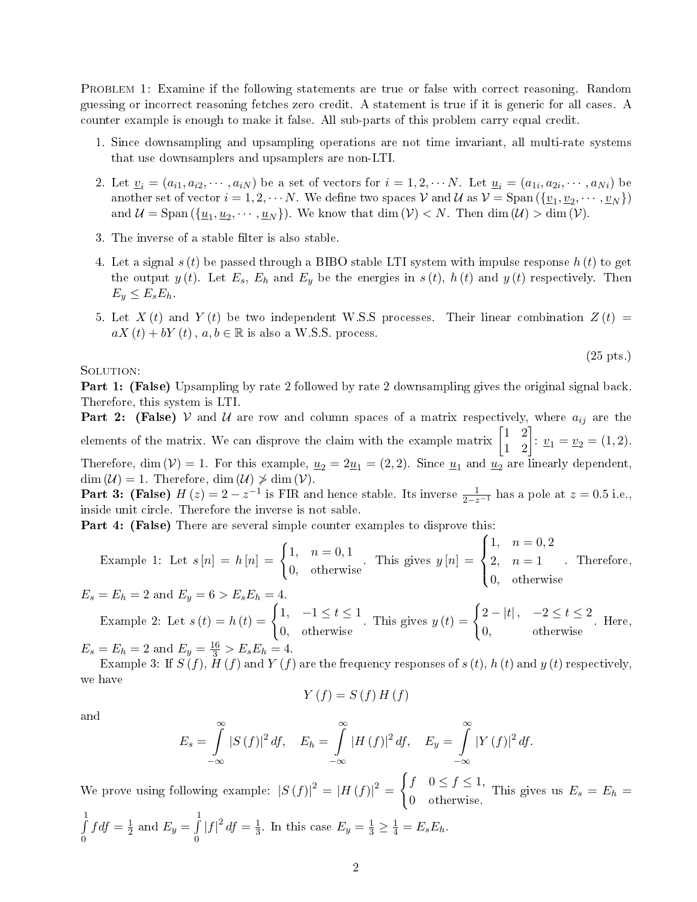PROBLEM 1: Examine if the following statements are true or false with correct reasoning. Random guessing or incorrect reasoning fetches zero credit. A statement is true if it is generic for all cases. A counter example is enough to make it false. All sub-parts of this problem carry equal credit.

- 1. Since downsampling and upsampling operations are not time invariant, all multi-rate systems that use downsamplers and upsamplers are non-LTI.
- 2. Let  $\underline{v}_i = (a_{i1}, a_{i2}, \cdots, a_{iN})$  be a set of vectors for  $i = 1, 2, \cdots N$ . Let  $\underline{u}_i = (a_{1i}, a_{2i}, \cdots, a_{Ni})$  be another set of vector  $i = 1, 2, \cdots N$ . We define two spaces  $\mathcal V$  and  $\mathcal U$  as  $\mathcal V = \text{Span}(\{\underline{v}_1, \underline{v}_2, \cdots, \underline{v}_N\})$ and  $\mathcal{U} = \text{Span}(\{\underline{u}_1, \underline{u}_2, \dots, \underline{u}_N\})$ . We know that  $\dim(\mathcal{V}) < N$ . Then  $\dim(\mathcal{U}) > \dim(\mathcal{V})$ .
- 3. The inverse of a stable filter is also stable.
- 4. Let a signal  $s(t)$  be passed through a BIBO stable LTI system with impulse response  $h(t)$  to get the output  $y(t)$ . Let  $E_s$ ,  $E_h$  and  $E_y$  be the energies in  $s(t)$ ,  $h(t)$  and  $y(t)$  respectively. Then  $E_y \leq E_s E_h$ .
- 5. Let  $X(t)$  and  $Y(t)$  be two independent W.S.S processes. Their linear combination  $Z(t)$  =  $aX(t) + bY(t)$ ,  $a, b \in \mathbb{R}$  is also a W.S.S. process.

(25 pts.)

#### SOLUTION:

Part 1: (False) Upsampling by rate 2 followed by rate 2 downsampling gives the original signal back. Therefore, this system is LTI.

**Part 2:** (False) V and U are row and column spaces of a matrix respectively, where  $a_{ij}$  are the elements of the matrix. We can disprove the claim with the example matrix  $\begin{bmatrix} 1 & 2 \\ 1 & 2 \end{bmatrix}$ :  $v_1 = v_2 = (1, 2)$ .

Therefore, dim  $(V) = 1$ . For this example,  $u_2 = 2u_1 = (2, 2)$ . Since  $u_1$  and  $u_2$  are linearly dependent,  $\dim (\mathcal{U}) = 1$ . Therefore,  $\dim (\mathcal{U}) \ngeq \dim (\mathcal{V})$ .

**Part 3:** (False)  $H(z) = 2 - z^{-1}$  is FIR and hence stable. Its inverse  $\frac{1}{2-z^{-1}}$  has a pole at  $z = 0.5$  i.e., inside unit circle. Therefore the inverse is not sable.

Part 4: (False) There are several simple counter examples to disprove this:

Example 1: Let 
$$
s[n] = h[n] = \begin{cases} 1, & n = 0, 1 \\ 0, & \text{otherwise} \end{cases}
$$
. This gives  $y[n] = \begin{cases} 1, & n = 0, 2 \\ 2, & n = 1 \\ 0, & \text{otherwise} \end{cases}$ . Therefore,

 $E_s = E_h = 2$  and  $E_y = 6 > E_s E_h = 4$ .

Example 2: Let  $s(t) = h(t) = \begin{cases} 1, & -1 \le t \le 1 \\ 0, & -1 \le t \le 1 \end{cases}$ 0, otherwise This gives  $y(t) = \begin{cases} 2 - |t|, & -2 \leq t \leq 2 \end{cases}$ 0, otherwise . Here,

 $E_s = E_h = 2$  and  $E_y = \frac{16}{3} > E_s E_h = 4$ .

Example 3: If  $S(f)$ ,  $H(f)$  and  $Y(f)$  are the frequency responses of  $s(t)$ ,  $h(t)$  and  $y(t)$  respectively, we have

$$
Y(f) = S(f) H(f)
$$

and

$$
E_s = \int_{-\infty}^{\infty} |S(f)|^2 df, \quad E_h = \int_{-\infty}^{\infty} |H(f)|^2 df, \quad E_y = \int_{-\infty}^{\infty} |Y(f)|^2 df.
$$

We prove using following example:  $|S(f)|^2 = |H(f)|^2 =$  $\int f \quad 0 \le f \le 1,$  $\begin{array}{c} \n\frac{\partial}{\partial y} = \frac{\partial}{\partial z} + \frac{\partial}{\partial z} + \frac{\partial}{\partial z} \\ \n0 & \text{otherwise.} \n\end{array}$  This gives us  $E_s = E_h =$  $\frac{1}{\sqrt{2}}$ 0  $f df = \frac{1}{2}$  $\frac{1}{2}$  and  $E_y = \int_0^1$  $\int_{0}^{\overline{}} |f|^2 df = \frac{1}{3}$  $\frac{1}{3}$ . In this case  $E_y = \frac{1}{3} \ge \frac{1}{4} = E_s E_h$ .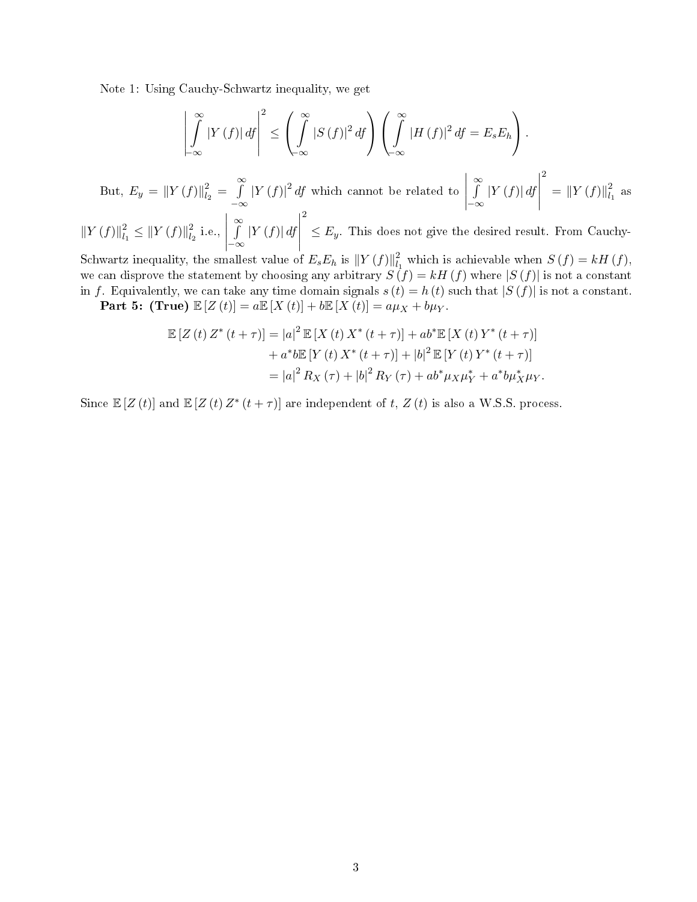Note 1: Using Cauchy-Schwartz inequality, we get

$$
\left| \int_{-\infty}^{\infty} |Y(f)| \, df \right|^2 \le \left( \int_{-\infty}^{\infty} |S(f)|^2 \, df \right) \left( \int_{-\infty}^{\infty} |H(f)|^2 \, df = E_s E_h \right).
$$
\nBut,

\n
$$
E_y = \|Y(f)\|_{l_2}^2 = \int_{-\infty}^{\infty} |Y(f)|^2 \, df \text{ which cannot be related to } \left| \int_{-\infty}^{\infty} |Y(f)| \, df \right|^2 = \|Y(f)\|_{l_1}^2 \text{ as}
$$

 $||Y(f)||_{l_1}^2$  $\frac{2}{l_1} \leq ||Y(f)||_{l_2}^2$  $i_2$  i.e.,  $\begin{array}{c} \begin{array}{c} \begin{array}{c} \end{array} \\ \begin{array}{c} \end{array} \end{array} \end{array}$ R∞  $\int_{-\infty}^{\infty} |Y(f)| df$  $\begin{array}{c} \begin{array}{c} \begin{array}{c} \begin{array}{c} \end{array} \\ \end{array} \\ \begin{array}{c} \end{array} \end{array} \end{array} \end{array}$  $\leq E_y$ . This does not give the desired result. From Cauchy-

Schwartz inequality, the smallest value of  $E_s E_h$  is  $||Y(f)||_{l_1}^2$  $\int_{l_1}^{2}$  which is achievable when  $S(f) = kH(f)$ , we can disprove the statement by choosing any arbitrary  $S(f) = kH(f)$  where  $|S(f)|$  is not a constant in f. Equivalently, we can take any time domain signals  $s(t) = h(t)$  such that  $|S(f)|$  is not a constant.

Part 5: (True)  $\mathbb{E}[Z(t)] = a \mathbb{E}[X(t)] + b \mathbb{E}[X(t)] = a\mu_X + b\mu_Y$ .

$$
\mathbb{E}\left[Z\left(t\right)Z^*\left(t+\tau\right)\right] = |a|^2 \mathbb{E}\left[X\left(t\right)X^*\left(t+\tau\right)\right] + ab^* \mathbb{E}\left[X\left(t\right)Y^*\left(t+\tau\right)\right] \n+ a^* b \mathbb{E}\left[Y\left(t\right)X^*\left(t+\tau\right)\right] + |b|^2 \mathbb{E}\left[Y\left(t\right)Y^*\left(t+\tau\right)\right] \n= |a|^2 R_X(\tau) + |b|^2 R_Y(\tau) + ab^* \mu_X \mu_Y^* + a^* b \mu_X^* \mu_Y.
$$

Since  $\mathbb{E}[Z(t)]$  and  $\mathbb{E}[Z(t)Z^*(t+\tau)]$  are independent of t,  $Z(t)$  is also a W.S.S. process.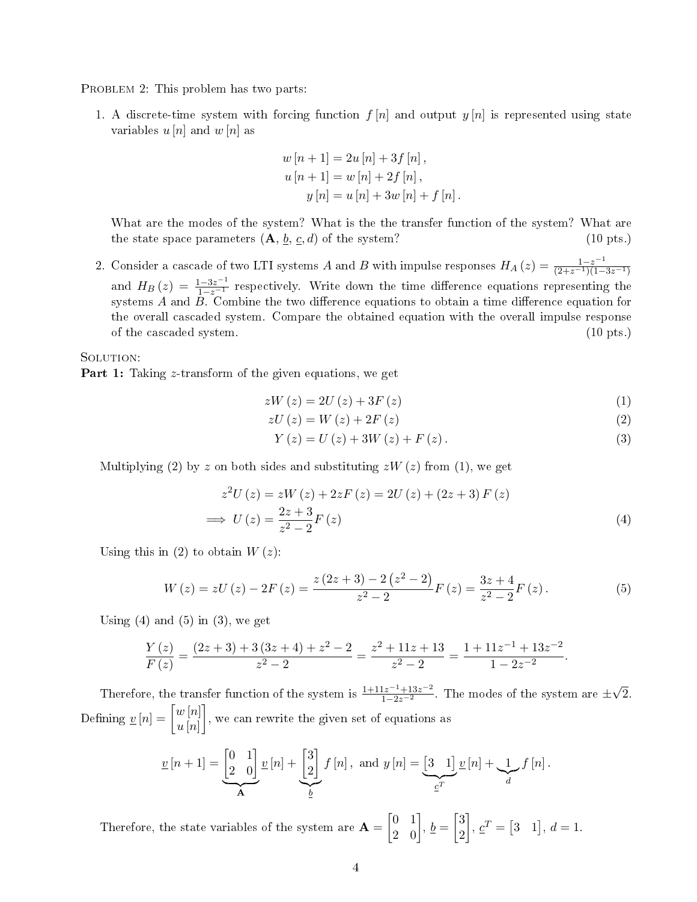PROBLEM 2: This problem has two parts:

1. A discrete-time system with forcing function  $f[n]$  and output  $y[n]$  is represented using state variables  $u[n]$  and  $w[n]$  as

$$
w[n+1] = 2u[n] + 3f[n],
$$
  
\n
$$
u[n+1] = w[n] + 2f[n],
$$
  
\n
$$
y[n] = u[n] + 3w[n] + f[n].
$$

What are the modes of the system? What is the the transfer function of the system? What are the state space parameters  $(A, \underline{b}, \underline{c}, d)$  of the system? (10 pts.)

2. Consider a cascade of two LTI systems A and B with impulse responses  $H_A(z) = \frac{1-z^{-1}}{(2+z^{-1})(1-3z^{-1})}$ and  $H_B(z) = \frac{1-3z^{-1}}{1-z^{-1}}$  respectively. Write down the time difference equations representing the systems  $A$  and  $B$ . Combine the two difference equations to obtain a time difference equation for the overall cascaded system. Compare the obtained equation with the overall impulse response of the cascaded system. (10 pts.)

SOLUTION:

**Part 1:** Taking z-transform of the given equations, we get

$$
zW\left(z\right) = 2U\left(z\right) + 3F\left(z\right) \tag{1}
$$

$$
zU\left(z\right) = W\left(z\right) + 2F\left(z\right) \tag{2}
$$

$$
Y(z) = U(z) + 3W(z) + F(z).
$$
 (3)

Multiplying (2) by z on both sides and substituting  $zW(z)$  from (1), we get

$$
z^{2}U(z) = zW(z) + 2zF(z) = 2U(z) + (2z + 3) F(z)
$$
  
\n
$$
\implies U(z) = \frac{2z + 3}{z^{2} - 2} F(z)
$$
\n(4)

Using this in (2) to obtain  $W(z)$ :

$$
W(z) = zU(z) - 2F(z) = \frac{z(2z+3) - 2(z^2-2)}{z^2 - 2}F(z) = \frac{3z+4}{z^2 - 2}F(z).
$$
 (5)

Using  $(4)$  and  $(5)$  in  $(3)$ , we get

$$
\frac{Y(z)}{F(z)} = \frac{(2z+3)+3(3z+4)+z^2-2}{z^2-2} = \frac{z^2+11z+13}{z^2-2} = \frac{1+11z^{-1}+13z^{-2}}{1-2z^{-2}}.
$$

Therefore, the transfer function of the system is  $\frac{1+11z^{-1}+13z^{-2}}{1-2z^{-2}}$ . The modes of the system are  $\pm\sqrt{2}$ . Defining  $\underline{v}[n] = \begin{bmatrix} w[n] \\ w[n] \end{bmatrix}$  $u\left[n\right]$ 1 , we can rewrite the given set of equations as

$$
\underline{v}[n+1] = \underbrace{\begin{bmatrix} 0 & 1 \\ 2 & 0 \end{bmatrix}}_{\mathbf{A}} \underline{v}[n] + \underbrace{\begin{bmatrix} 3 \\ 2 \end{bmatrix}}_{\underline{b}} f[n], \text{ and } y[n] = \underbrace{\begin{bmatrix} 3 & 1 \end{bmatrix}}_{\underline{c}^T} \underline{v}[n] + \underbrace{1}_{d} f[n].
$$

Therefore, the state variables of the system are  $\mathbf{A} =$  $\begin{bmatrix} 0 & 1 \\ 2 & 0 \end{bmatrix}$ ,  $\underline{b} =$  3 2  $\overline{1}$  $, \underline{c}^T = [3 \ 1], d = 1.$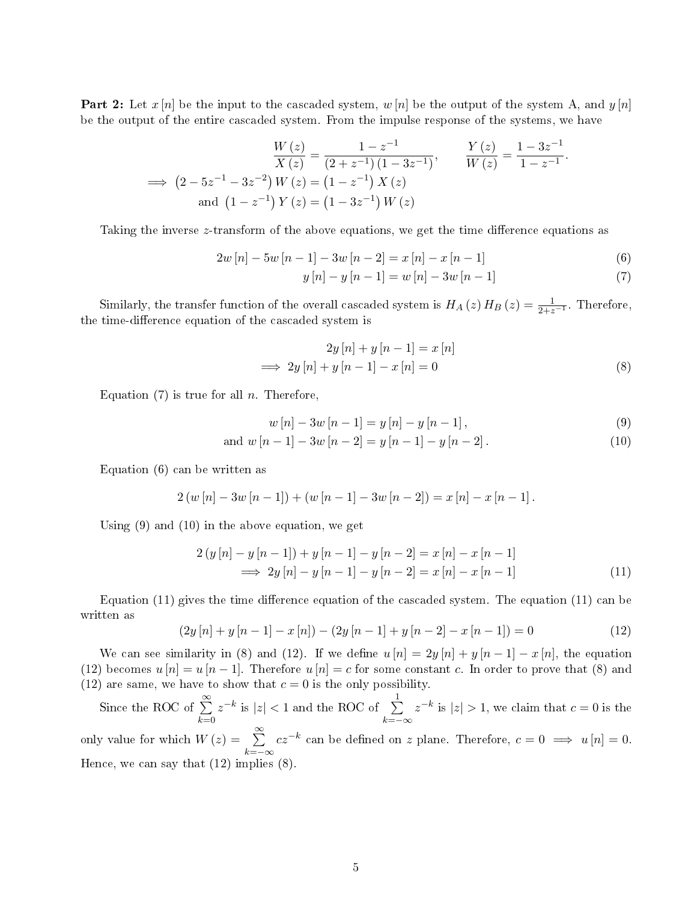**Part 2:** Let  $x[n]$  be the input to the cascaded system,  $w[n]$  be the output of the system A, and  $y[n]$ be the output of the entire cascaded system. From the impulse response of the systems, we have

$$
\frac{W(z)}{X(z)} = \frac{1 - z^{-1}}{(2 + z^{-1})(1 - 3z^{-1})}, \qquad \frac{Y(z)}{W(z)} = \frac{1 - 3z^{-1}}{1 - z^{-1}}.
$$
  
\n
$$
\implies (2 - 5z^{-1} - 3z^{-2}) W(z) = (1 - z^{-1}) X(z)
$$
  
\nand  $(1 - z^{-1}) Y(z) = (1 - 3z^{-1}) W(z)$ 

Taking the inverse z-transform of the above equations, we get the time difference equations as

$$
2w[n] - 5w[n-1] - 3w[n-2] = x[n] - x[n-1]
$$
\n(6)

$$
y[n] - y[n-1] = w[n] - 3w[n-1]
$$
\n(7)

Similarly, the transfer function of the overall cascaded system is  $H_A(z) H_B(z) = \frac{1}{2+z^{-1}}$ . Therefore, the time-difference equation of the cascaded system is

$$
2y[n] + y[n-1] = x[n]
$$
  
\n
$$
\implies 2y[n] + y[n-1] - x[n] = 0
$$
\n(8)

Equation  $(7)$  is true for all n. Therefore,

$$
w[n] - 3w[n-1] = y[n] - y[n-1],
$$
\n(9)

and 
$$
w[n-1]-3w[n-2] = y[n-1]-y[n-2]
$$
. (10)

Equation (6) can be written as

$$
2(w [n] - 3w [n-1]) + (w [n-1] - 3w [n-2]) = x [n] - x [n-1].
$$

Using (9) and (10) in the above equation, we get

$$
2(y[n] - y[n-1]) + y[n-1] - y[n-2] = x[n] - x[n-1]
$$
  
\n
$$
\implies 2y[n] - y[n-1] - y[n-2] = x[n] - x[n-1]
$$
\n(11)

Equation  $(11)$  gives the time difference equation of the cascaded system. The equation  $(11)$  can be written as

$$
(2y[n] + y[n-1] - x[n]) - (2y[n-1] + y[n-2] - x[n-1]) = 0
$$
\n(12)

We can see similarity in (8) and (12). If we define  $u[n] = 2y[n] + y[n-1] - x[n]$ , the equation (12) becomes  $u[n] = u[n-1]$ . Therefore  $u[n] = c$  for some constant c. In order to prove that (8) and (12) are same, we have to show that  $c = 0$  is the only possibility.

Since the ROC of  $\sum^{\infty}$  $_{k=0}$  $|z|$  is  $|z|$  < 1 and the ROC of  $\sum_{i=1}^{n}$  $k=-\infty$  $z^{-k}$  is  $|z| > 1$ , we claim that  $c = 0$  is the only value for which  $W(z) = \sum_{n=0}^{\infty}$  $k=-\infty$  $cz^{-k}$  can be defined on z plane. Therefore,  $c = 0 \implies u[n] = 0$ . Hence, we can say that (12) implies (8).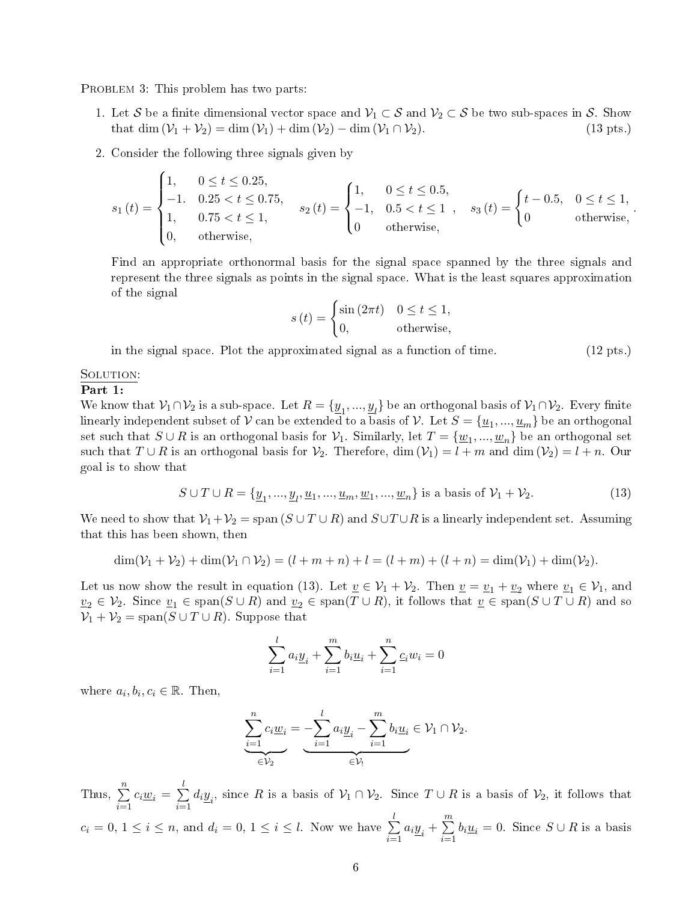PROBLEM 3: This problem has two parts:

- 1. Let S be a finite dimensional vector space and  $V_1 \subset S$  and  $V_2 \subset S$  be two sub-spaces in S. Show that dim  $(V_1 + V_2) = \dim(V_1) + \dim(V_2) \dim(V_1 \cap V_2)$ . (13 pts.) that dim  $(\mathcal{V}_1 + \mathcal{V}_2) = \dim (\mathcal{V}_1) + \dim (\mathcal{V}_2) - \dim (\mathcal{V}_1 \cap \mathcal{V}_2).$
- 2. Consider the following three signals given by

$$
s_1(t) = \begin{cases} 1, & 0 \le t \le 0.25, \\ -1. & 0.25 < t \le 0.75, \\ 1, & 0.75 < t \le 1, \\ 0, & \text{otherwise,} \end{cases} \quad s_2(t) = \begin{cases} 1, & 0 \le t \le 0.5, \\ -1, & 0.5 < t \le 1 \\ 0 & \text{otherwise,} \end{cases}, \quad s_3(t) = \begin{cases} t - 0.5, & 0 \le t \le 1, \\ 0 & \text{otherwise,} \end{cases}.
$$

Find an appropriate orthonormal basis for the signal space spanned by the three signals and represent the three signals as points in the signal space. What is the least squares approximation of the signal

$$
s(t) = \begin{cases} \sin(2\pi t) & 0 \le t \le 1, \\ 0, & \text{otherwise,} \end{cases}
$$

in the signal space. Plot the approximated signal as a function of time. (12 pts.)

#### SOLUTION:

#### Part 1:

We know that  $\mathcal{V}_1 \cap \mathcal{V}_2$  is a sub-space. Let  $R = \{\underline{y}_1, ..., \underline{y}_l\}$  be an orthogonal basis of  $\mathcal{V}_1 \cap \mathcal{V}_2$ . Every finite linearly independent subset of  $\cal V$  can be extended to a basis of  $\cal V$ . Let  $S=\{\underline{u}_1,...,\underline{u}_m\}$  be an orthogonal set such that  $S \cup R$  is an orthogonal basis for  $\mathcal{V}_1$ . Similarly, let  $T = \{\underline{w}_1, ..., \underline{w}_n\}$  be an orthogonal set such that  $T \cup R$  is an orthogonal basis for  $\mathcal{V}_2$ . Therefore, dim  $(\mathcal{V}_1) = l + m$  and dim  $(\mathcal{V}_2) = l + n$ . Our goal is to show that

$$
S \cup T \cup R = \{ \underline{y}_1, \dots, \underline{y}_l, \underline{u}_1, \dots, \underline{u}_m, \underline{w}_1, \dots, \underline{w}_n \} \text{ is a basis of } \mathcal{V}_1 + \mathcal{V}_2. \tag{13}
$$

We need to show that  $\mathcal{V}_1+\mathcal{V}_2 = \text{span}(S \cup T \cup R)$  and  $S \cup T \cup R$  is a linearly independent set. Assuming that this has been shown, then

$$
\dim(\mathcal{V}_1 + \mathcal{V}_2) + \dim(\mathcal{V}_1 \cap \mathcal{V}_2) = (l + m + n) + l = (l + m) + (l + n) = \dim(\mathcal{V}_1) + \dim(\mathcal{V}_2).
$$

Let us now show the result in equation (13). Let  $\underline{v} \in \mathcal{V}_1 + \mathcal{V}_2$ . Then  $\underline{v} = \underline{v}_1 + \underline{v}_2$  where  $\underline{v}_1 \in \mathcal{V}_1$ , and  $v_2 \in V_2$ . Since  $v_1 \in \text{span}(S \cup R)$  and  $v_2 \in \text{span}(T \cup R)$ , it follows that  $v \in \text{span}(S \cup T \cup R)$  and so  $\mathcal{V}_1 + \mathcal{V}_2 = \text{span}(S \cup T \cup R)$ . Suppose that

$$
\sum_{i=1}^{l} a_i \underline{y}_i + \sum_{i=1}^{m} b_i \underline{u}_i + \sum_{i=1}^{n} \underline{c}_i w_i = 0
$$

where  $a_i, b_i, c_i \in \mathbb{R}$ . Then,

$$
\underbrace{\sum_{i=1}^{n} c_i \underline{w}_i}_{\in \mathcal{V}_2} = \underbrace{-\sum_{i=1}^{l} a_i \underline{y}_i - \sum_{i=1}^{m} b_i \underline{u}_i}_{\in \mathcal{V}_1} \in \mathcal{V}_1 \cap \mathcal{V}_2.
$$

Thus,  $\sum_{n=1}^{\infty}$  $\sum_{i=1}^{n} c_i \underline{w}_i = \sum_{i=1}^{l}$  $i=1$  $d_i \underline{y}_i$ , since R is a basis of  $\mathcal{V}_1 \cap \mathcal{V}_2$ . Since  $T \cup R$  is a basis of  $\mathcal{V}_2$ , it follows that  $c_i = 0, 1 \leq i \leq n$ , and  $d_i = 0, 1 \leq i \leq l$ . Now we have  $\sum_{i=1}^{l}$  $i=1$  $a_i \underline{y}_i + \sum_{i=1}^m$  $\sum_{i=1} b_i \underline{u}_i = 0$ . Since  $S \cup R$  is a basis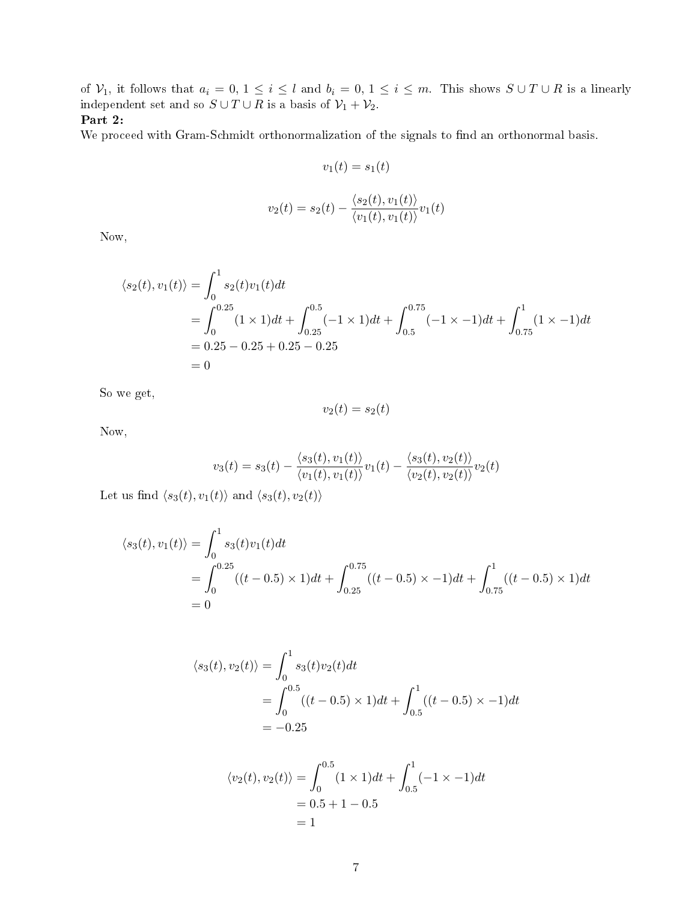of  $\mathcal{V}_1$ , it follows that  $a_i = 0, 1 \le i \le l$  and  $b_i = 0, 1 \le i \le m$ . This shows  $S \cup T \cup R$  is a linearly independent set and so  $S \cup T \cup R$  is a basis of  $\mathcal{V}_1 + \mathcal{V}_2$ .

## Part 2:

We proceed with Gram-Schmidt orthonormalization of the signals to find an orthonormal basis.

$$
v_1(t) = s_1(t)
$$

$$
v_2(t) = s_2(t) - \frac{\langle s_2(t), v_1(t) \rangle}{\langle v_1(t), v_1(t) \rangle} v_1(t)
$$

Now,

$$
\langle s_2(t), v_1(t) \rangle = \int_0^1 s_2(t) v_1(t) dt
$$
  
= 
$$
\int_0^{0.25} (1 \times 1) dt + \int_{0.25}^{0.5} (-1 \times 1) dt + \int_{0.5}^{0.75} (-1 \times -1) dt + \int_{0.75}^1 (1 \times -1) dt
$$
  
= 0.25 - 0.25 + 0.25 - 0.25  
= 0

So we get,

$$
v_2(t) = s_2(t)
$$

Now,

$$
v_3(t) = s_3(t) - \frac{\langle s_3(t), v_1(t) \rangle}{\langle v_1(t), v_1(t) \rangle} v_1(t) - \frac{\langle s_3(t), v_2(t) \rangle}{\langle v_2(t), v_2(t) \rangle} v_2(t)
$$

Let us find  $\langle s_3(t), v_1(t) \rangle$  and  $\langle s_3(t), v_2(t) \rangle$ 

$$
\langle s_3(t), v_1(t) \rangle = \int_0^1 s_3(t) v_1(t) dt
$$
  
= 
$$
\int_0^{0.25} ((t - 0.5) \times 1) dt + \int_{0.25}^{0.75} ((t - 0.5) \times -1) dt + \int_{0.75}^1 ((t - 0.5) \times 1) dt
$$
  
= 0

$$
\langle s_3(t), v_2(t) \rangle = \int_0^1 s_3(t) v_2(t) dt
$$
  
= 
$$
\int_0^{0.5} ((t - 0.5) \times 1) dt + \int_{0.5}^1 ((t - 0.5) \times -1) dt
$$
  
= -0.25

$$
\langle v_2(t), v_2(t) \rangle = \int_0^{0.5} (1 \times 1) dt + \int_{0.5}^1 (-1 \times -1) dt
$$
  
= 0.5 + 1 - 0.5  
= 1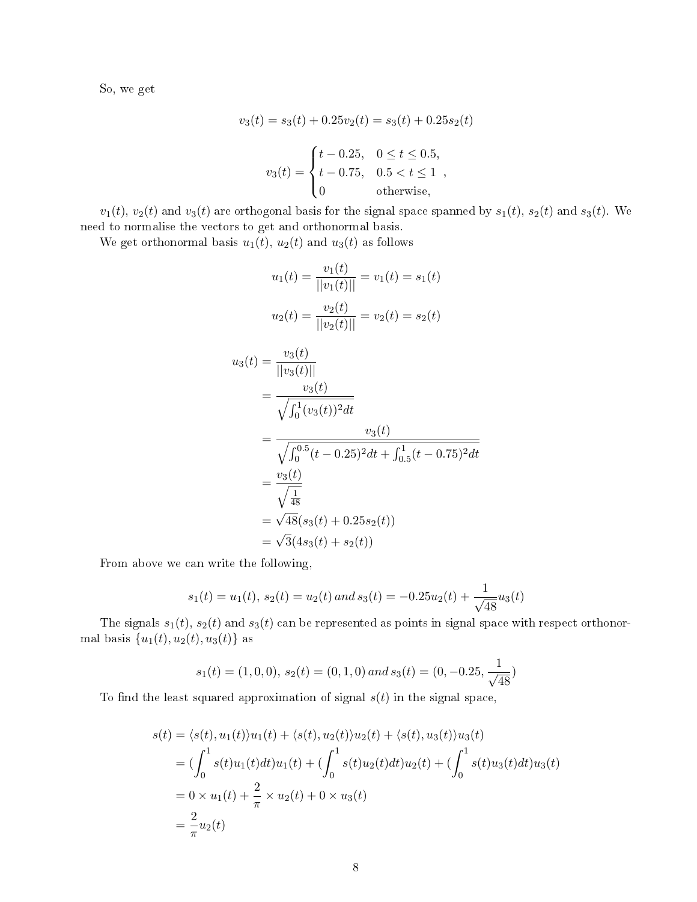So, we get

$$
v_3(t) = s_3(t) + 0.25v_2(t) = s_3(t) + 0.25s_2(t)
$$

$$
v_3(t) = \begin{cases} t - 0.25, & 0 \le t \le 0.5, \\ t - 0.75, & 0.5 < t \le 1 \\ 0 & \text{otherwise,} \end{cases}
$$

 $v_1(t)$ ,  $v_2(t)$  and  $v_3(t)$  are orthogonal basis for the signal space spanned by  $s_1(t)$ ,  $s_2(t)$  and  $s_3(t)$ . We need to normalise the vectors to get and orthonormal basis.

We get orthonormal basis  $u_1(t)$ ,  $u_2(t)$  and  $u_3(t)$  as follows

$$
u_1(t) = \frac{v_1(t)}{||v_1(t)||} = v_1(t) = s_1(t)
$$
  
\n
$$
u_2(t) = \frac{v_2(t)}{||v_2(t)||} = v_2(t) = s_2(t)
$$
  
\n
$$
u_3(t) = \frac{v_3(t)}{||v_3(t)||}
$$
  
\n
$$
= \frac{v_3(t)}{\sqrt{\int_0^1 (v_3(t))^2 dt}}
$$
  
\n
$$
= \frac{v_3(t)}{\sqrt{\int_0^{0.5} (t - 0.25)^2 dt + \int_0^1 (t - 0.75)^2 dt}}
$$
  
\n
$$
= \frac{v_3(t)}{\sqrt{\frac{1}{48}}}
$$
  
\n
$$
= \sqrt{48}(s_3(t) + 0.25s_2(t))
$$
  
\n
$$
= \sqrt{3}(4s_3(t) + s_2(t))
$$

From above we can write the following,

$$
s_1(t) = u_1(t), s_2(t) = u_2(t)
$$
 and  $s_3(t) = -0.25u_2(t) + \frac{1}{\sqrt{48}}u_3(t)$ 

The signals  $s_1(t)$ ,  $s_2(t)$  and  $s_3(t)$  can be represented as points in signal space with respect orthonormal basis  $\{u_1(t), u_2(t), u_3(t)\}\$ as

$$
s_1(t) = (1, 0, 0), s_2(t) = (0, 1, 0) \text{ and } s_3(t) = (0, -0.25, \frac{1}{\sqrt{48}})
$$

To find the least squared approximation of signal  $s(t)$  in the signal space,

$$
s(t) = \langle s(t), u_1(t) \rangle u_1(t) + \langle s(t), u_2(t) \rangle u_2(t) + \langle s(t), u_3(t) \rangle u_3(t)
$$
  
=  $(\int_0^1 s(t)u_1(t)dt)u_1(t) + (\int_0^1 s(t)u_2(t)dt)u_2(t) + (\int_0^1 s(t)u_3(t)dt)u_3(t)$   
=  $0 \times u_1(t) + \frac{2}{\pi} \times u_2(t) + 0 \times u_3(t)$   
=  $\frac{2}{\pi}u_2(t)$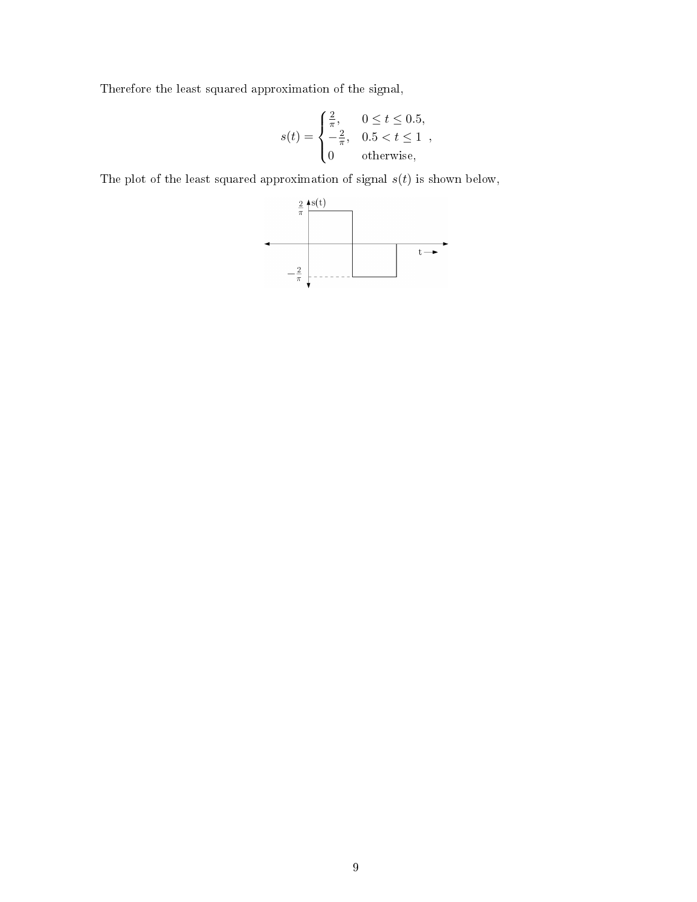Therefore the least squared approximation of the signal,

$$
s(t) = \begin{cases} \frac{2}{\pi}, & 0 \le t \le 0.5, \\ -\frac{2}{\pi}, & 0.5 < t \le 1 \\ 0 & \text{otherwise}, \end{cases}
$$

The plot of the least squared approximation of signal  $s(t)$  is shown below,

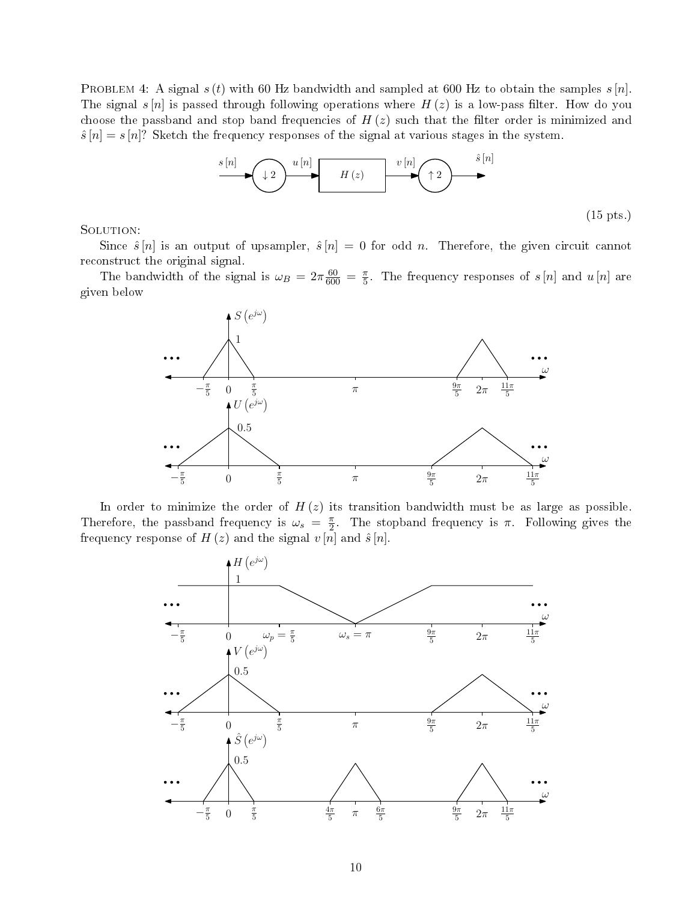PROBLEM 4: A signal  $s(t)$  with 60 Hz bandwidth and sampled at 600 Hz to obtain the samples  $s[n]$ . The signal s  $[n]$  is passed through following operations where  $H(z)$  is a low-pass filter. How do you choose the passband and stop band frequencies of  $H(z)$  such that the filter order is minimized and  $\hat{s}[n] = s[n]$ ? Sketch the frequency responses of the signal at various stages in the system.



SOLUTION:

Since  $\hat{s}[n]$  is an output of upsampler,  $\hat{s}[n] = 0$  for odd n. Therefore, the given circuit cannot reconstruct the original signal.

The bandwidth of the signal is  $\omega_B = 2\pi \frac{60}{600} = \frac{\pi}{5}$  $\frac{\pi}{5}$ . The frequency responses of  $s[n]$  and  $u[n]$  are given below



In order to minimize the order of  $H(z)$  its transition bandwidth must be as large as possible. Therefore, the passband frequency is  $\omega_s = \frac{\pi}{2}$  $\frac{\pi}{2}$ . The stopband frequency is  $\pi$ . Following gives the frequency response of  $H(z)$  and the signal  $v[n]$  and  $\hat{s}[n]$ .